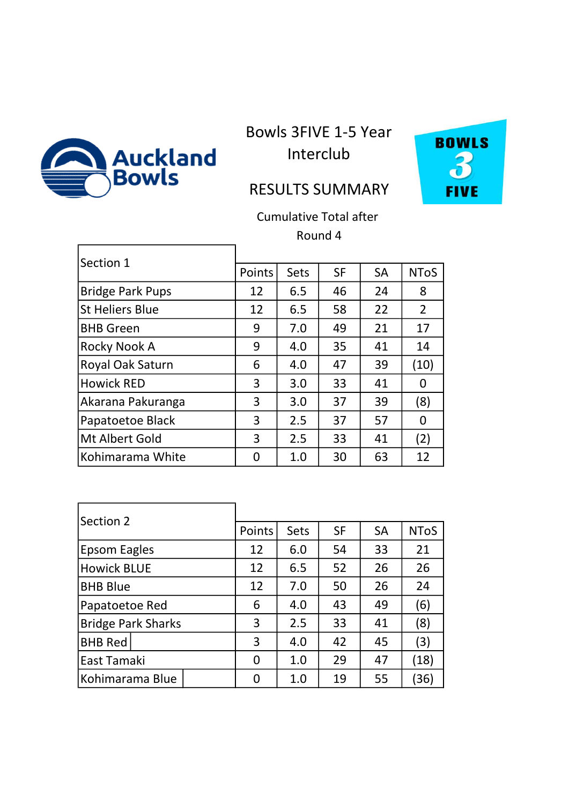

 $\Gamma$ 

Bowls 3FIVE 1-5 Year Interclub



## RESULTS SUMMARY

Cumulative Total after Round 4

| Section 1               |        |             |           |           |                |
|-------------------------|--------|-------------|-----------|-----------|----------------|
|                         | Points | <b>Sets</b> | <b>SF</b> | <b>SA</b> | <b>NToS</b>    |
| <b>Bridge Park Pups</b> | 12     | 6.5         | 46        | 24        | 8              |
| <b>St Heliers Blue</b>  | 12     | 6.5         | 58        | 22        | $\overline{2}$ |
| <b>BHB Green</b>        | 9      | 7.0         | 49        | 21        | 17             |
| Rocky Nook A            | 9      | 4.0         | 35        | 41        | 14             |
| Royal Oak Saturn        | 6      | 4.0         | 47        | 39        | (10)           |
| <b>Howick RED</b>       | 3      | 3.0         | 33        | 41        | 0              |
| Akarana Pakuranga       | 3      | 3.0         | 37        | 39        | (8)            |
| Papatoetoe Black        | 3      | 2.5         | 37        | 57        | 0              |
| Mt Albert Gold          | 3      | 2.5         | 33        | 41        | (2)            |
| Kohimarama White        |        | 1.0         | 30        | 63        | 12             |

٦

| Section 2                 |        |             |           |           |             |
|---------------------------|--------|-------------|-----------|-----------|-------------|
|                           | Points | <b>Sets</b> | <b>SF</b> | <b>SA</b> | <b>NToS</b> |
| Epsom Eagles              | 12     | 6.0         | 54        | 33        | 21          |
| <b>Howick BLUE</b>        | 12     | 6.5         | 52        | 26        | 26          |
| <b>BHB Blue</b>           | 12     | 7.0         | 50        | 26        | 24          |
| Papatoetoe Red            | 6      | 4.0         | 43        | 49        | (6)         |
| <b>Bridge Park Sharks</b> | 3      | 2.5         | 33        | 41        | (8)         |
| <b>BHB Red</b>            | 3      | 4.0         | 42        | 45        | (3)         |
| East Tamaki               | 0      | 1.0         | 29        | 47        | (18)        |
| Kohimarama Blue           | 0      | 1.0         | 19        | 55        | 36)         |